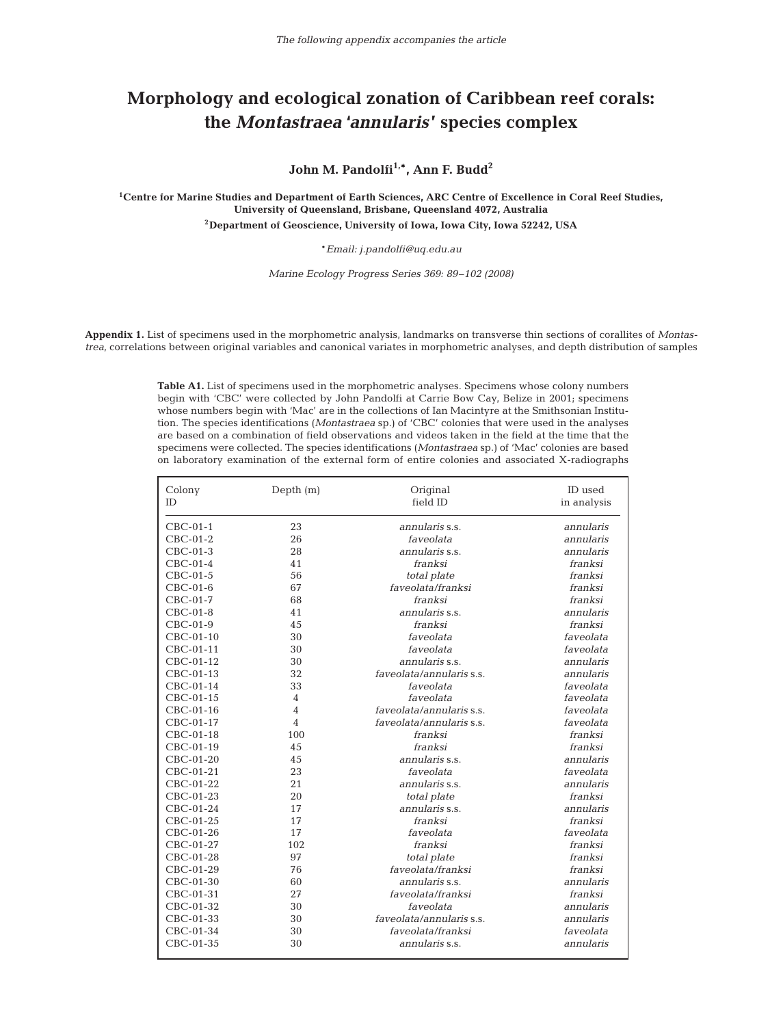## **Morphology and ecological zonation of Caribbean reef corals: the** *Montastraea* **'***annularis***' species complex**

John M. Pandolfi<sup>1,\*</sup>, Ann F. Budd<sup>2</sup>

**1Centre for Marine Studies and Department of Earth Sciences, ARC Centre of Excellence in Coral Reef Studies, University of Queensland, Brisbane, Queensland 4072, Australia 2Department of Geoscience, University of Iowa, Iowa City, Iowa 52242, USA**

\**Email: j.pandolfi@uq.edu.au*

*Marine Ecology Progress Series 369: 89–102 (2008)*

**Appendix 1.** List of specimens used in the morphometric analysis, landmarks on transverse thin sections of corallites of *Montastrea*, correlations between original variables and canonical variates in morphometric analyses, and depth distribution of samples

> **Table A1.** List of specimens used in the morphometric analyses. Specimens whose colony numbers begin with 'CBC' were collected by John Pandolfi at Carrie Bow Cay, Belize in 2001; specimens whose numbers begin with 'Mac' are in the collections of Ian Macintyre at the Smithsonian Institution. The species identifications (*Montastraea* sp.) of 'CBC' colonies that were used in the analyses are based on a combination of field observations and videos taken in the field at the time that the specimens were collected. The species identifications (*Montastraea* sp.) of 'Mac' colonies are based on laboratory examination of the external form of entire colonies and associated X-radiographs

| Colony<br><b>ID</b>    | Depth $(m)$    | ID used<br>in analysis           |                        |  |
|------------------------|----------------|----------------------------------|------------------------|--|
|                        | 23             |                                  |                        |  |
| $CBC-01-1$             | 26             | annularis s.s.<br>faveolata      | annularis<br>annularis |  |
| $CBC-01-2$<br>CBC-01-3 | 28             | annularis s.s.                   | annularis              |  |
| $CBC-01-4$             | 41             | franksi                          | franksi                |  |
| $CBC-01-5$             | 56             |                                  | franksi                |  |
|                        | 67             | total plate<br>faveolata/franksi | franksi                |  |
| CBC-01-6<br>CBC-01-7   | 68             | franksi                          | franksi                |  |
| CBC-01-8               | 41             | annularis s.s.                   | annularis              |  |
| $CBC-01-9$             | 45             | franksi                          | franksi                |  |
| CBC-01-10              | 30             | faveolata                        | faveolata              |  |
| CBC-01-11              | 30             | faveolata                        | faveolata              |  |
| CBC-01-12              | 30             | annularis s.s.                   | annularis              |  |
| CBC-01-13              | 32             | faveolata/annularis s.s.         | annularis              |  |
| CBC-01-14              | 33             | faveolata                        | faveolata              |  |
| CBC-01-15              | $\overline{4}$ | faveolata                        | faveolata              |  |
| CBC-01-16              | $\overline{4}$ | faveolata/annularis s.s.         | faveolata              |  |
| CBC-01-17              | $\overline{4}$ | faveolata/annularis s.s.         | faveolata              |  |
| CBC-01-18              | 100            | franksi                          | franksi                |  |
| CBC-01-19              | 45             | franksi                          | franksi                |  |
| CBC-01-20              | 45             | annularis s.s.                   | annularis              |  |
| CBC-01-21              | 23             | faveolata                        | faveolata              |  |
| CBC-01-22              | 21             | annularis s.s.                   | annularis              |  |
| CBC-01-23              | 20             | total plate                      | franksi                |  |
| CBC-01-24              | 17             | annularis s.s.                   | annularis              |  |
| CBC-01-25              | 17             | franksi                          | franksi                |  |
| CBC-01-26              | 17             | faveolata                        | faveolata              |  |
| CBC-01-27              | 102            | franksi                          | franksi                |  |
| CBC-01-28              | 97             | total plate                      | franksi                |  |
| CBC-01-29              | 76             | faveolata/franksi                | franksi                |  |
| CBC-01-30              | 60             | annularis s.s.                   | annularis              |  |
| CBC-01-31              | 27             | faveolata/franksi                | franksi                |  |
| CBC-01-32              | 30             | faveolata                        | annularis              |  |
| CBC-01-33              | 30             | faveolata/annularis s.s.         | annularis              |  |
| CBC-01-34              | 30             | faveolata/franksi                | faveolata              |  |
| CBC-01-35              | 30             | annularis s.s.                   | annularis              |  |
|                        |                |                                  |                        |  |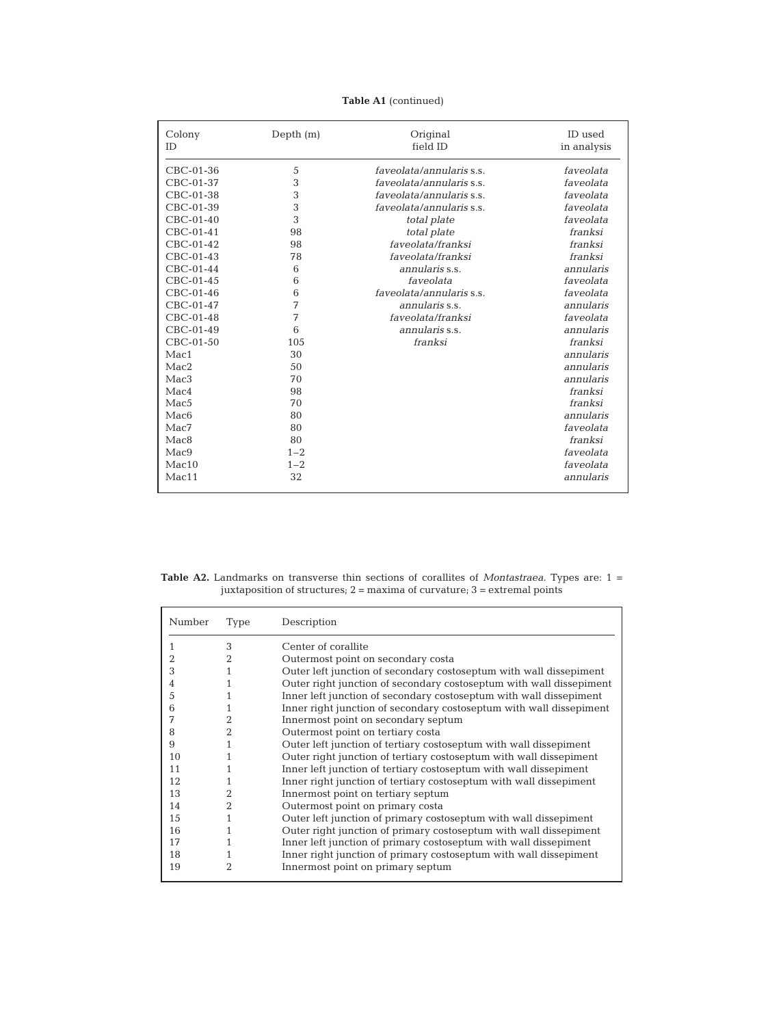## **Table A1** (continued)

| Colony<br>ID     | Depth $(m)$ | Original<br>field ID     | <b>ID</b> used<br>in analysis |
|------------------|-------------|--------------------------|-------------------------------|
| CBC-01-36        | 5           | faveolata/annularis s.s. | faveolata                     |
| CBC-01-37        | 3           | faveolata/annularis s.s. | faveolata                     |
| CBC-01-38        | 3           | faveolata/annularis s.s. | faveolata                     |
| CBC-01-39        | 3           | faveolata/annularis s.s. | faveolata                     |
| $CBC-01-40$      | 3           | total plate              | faveolata                     |
| CBC-01-41        | 98          | total plate              | franksi                       |
| CBC-01-42        | 98          | faveolata/franksi        | franksi                       |
| CBC-01-43        | 78          | faveolata/franksi        | franksi                       |
| CBC-01-44        | 6           | annularis s.s.           | annularis                     |
| CBC-01-45        | 6           | faveolata                | faveolata                     |
| CBC-01-46        | 6           | faveolata/annularis s.s. | faveolata                     |
| CBC-01-47        | 7           | annularis s.s.           | annularis                     |
| CBC-01-48        | 7           | faveolata/franksi        | faveolata                     |
| CBC-01-49        | 6           | annularis s.s.           | annularis                     |
| CBC-01-50        | 105         | franksi                  | franksi                       |
| Mac1             | 30          |                          | annularis                     |
| Mac2             | 50          |                          | annularis                     |
| Mac3             | 70          |                          | annularis                     |
| Mac4             | 98          |                          | franksi                       |
| Mac <sub>5</sub> | 70          |                          | franksi                       |
| Mac <sub>6</sub> | 80          |                          | annularis                     |
| Mac7             | 80          |                          | faveolata                     |
| Mac8             | 80          |                          | franksi                       |
| Mac9             | $1 - 2$     |                          | faveolata                     |
| Mac10            | $1 - 2$     |                          | faveolata                     |
| Mac11            | 32          |                          | annularis                     |

**Table A2.** Landmarks on transverse thin sections of corallites of *Montastraea*. Types are: 1 = juxtaposition of structures; 2 = maxima of curvature; 3 = extremal points

| Number | Type           | Description                                                         |
|--------|----------------|---------------------------------------------------------------------|
|        | 3              | Center of corallite                                                 |
| 2      | $\overline{2}$ | Outermost point on secondary costa                                  |
| 3      | 1              | Outer left junction of secondary costoseptum with wall dissepiment  |
| 4      |                | Outer right junction of secondary costoseptum with wall dissepiment |
| 5      | 1              | Inner left junction of secondary costoseptum with wall dissepiment  |
| 6      | 1              | Inner right junction of secondary costoseptum with wall dissepiment |
| 7      | $\overline{2}$ | Innermost point on secondary septum                                 |
| 8      | $\overline{2}$ | Outermost point on tertiary costa                                   |
| 9      | 1              | Outer left junction of tertiary costoseptum with wall dissepiment   |
| 10     |                | Outer right junction of tertiary costoseptum with wall dissepiment  |
| 11     | 1              | Inner left junction of tertiary costoseptum with wall dissepiment   |
| 12     | 1              | Inner right junction of tertiary costoseptum with wall dissepiment  |
| 13     | $\mathfrak{D}$ | Innermost point on tertiary septum                                  |
| 14     | $\overline{2}$ | Outermost point on primary costa                                    |
| 15     | 1              | Outer left junction of primary costoseptum with wall dissepiment    |
| 16     |                | Outer right junction of primary costoseptum with wall dissepiment   |
| 17     |                | Inner left junction of primary costoseptum with wall dissepiment    |
| 18     |                | Inner right junction of primary costoseptum with wall dissepiment   |
| 19     | 2              | Innermost point on primary septum                                   |
|        |                |                                                                     |